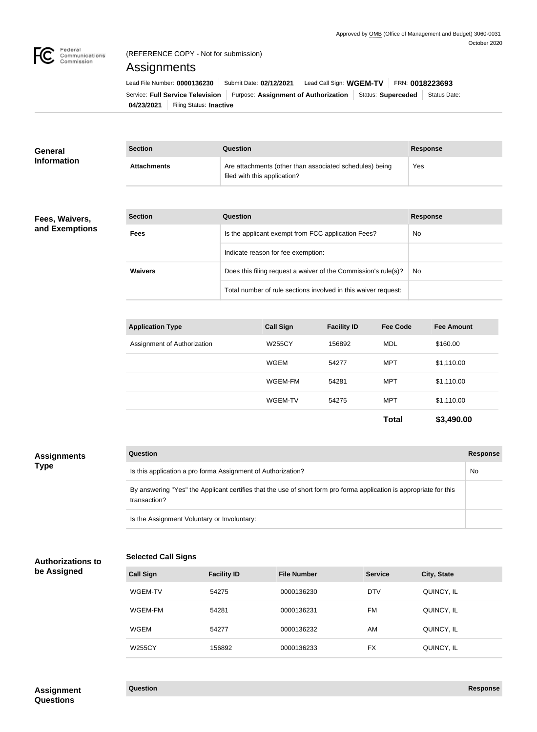

**General Information**

# (REFERENCE COPY - Not for submission)

Assignments

**04/23/2021** Filing Status: **Inactive** Service: Full Service Television | Purpose: Assignment of Authorization | Status: Superceded | Status Date: Lead File Number: **0000136230** Submit Date: 02/12/2021 Lead Call Sign: WGEM-TV FRN: 0018223693

| <b>Section</b>     | Question                                                                                | <b>Response</b> |
|--------------------|-----------------------------------------------------------------------------------------|-----------------|
| <b>Attachments</b> | Are attachments (other than associated schedules) being<br>filed with this application? | Yes             |

### **Fees, Waivers, and Exemptions**

| <b>Section</b> | Question                                                       | <b>Response</b> |
|----------------|----------------------------------------------------------------|-----------------|
| <b>Fees</b>    | Is the applicant exempt from FCC application Fees?             | <b>No</b>       |
|                | Indicate reason for fee exemption:                             |                 |
| <b>Waivers</b> | Does this filing request a waiver of the Commission's rule(s)? | No.             |
|                | Total number of rule sections involved in this waiver request: |                 |

| <b>Application Type</b>     | <b>Call Sign</b> | <b>Facility ID</b> | <b>Fee Code</b> | <b>Fee Amount</b> |
|-----------------------------|------------------|--------------------|-----------------|-------------------|
| Assignment of Authorization | <b>W255CY</b>    | 156892             | MDL             | \$160.00          |
|                             | <b>WGEM</b>      | 54277              | <b>MPT</b>      | \$1,110.00        |
|                             | WGEM-FM          | 54281              | <b>MPT</b>      | \$1,110.00        |
|                             | WGEM-TV          | 54275              | <b>MPT</b>      | \$1,110.00        |
|                             |                  |                    | <b>Total</b>    | \$3,490.00        |

| <b>Assignments</b> | <b>Question</b>                                                                                                                     | Response |
|--------------------|-------------------------------------------------------------------------------------------------------------------------------------|----------|
| <b>Type</b>        | Is this application a pro forma Assignment of Authorization?                                                                        | No       |
|                    | By answering "Yes" the Applicant certifies that the use of short form pro forma application is appropriate for this<br>transaction? |          |
|                    | Is the Assignment Voluntary or Involuntary:                                                                                         |          |

#### **Selected Call Signs Authorizations to**

|  | be Assigned |  |
|--|-------------|--|

| <b>Call Sign</b> | <b>Facility ID</b> | <b>File Number</b> | <b>Service</b> | <b>City, State</b> |
|------------------|--------------------|--------------------|----------------|--------------------|
| WGEM-TV          | 54275              | 0000136230         | <b>DTV</b>     | QUINCY, IL         |
| WGEM-FM          | 54281              | 0000136231         | FM             | QUINCY, IL         |
| <b>WGEM</b>      | 54277              | 0000136232         | AM             | QUINCY, IL         |
| <b>W255CY</b>    | 156892             | 0000136233         | FX             | QUINCY, IL         |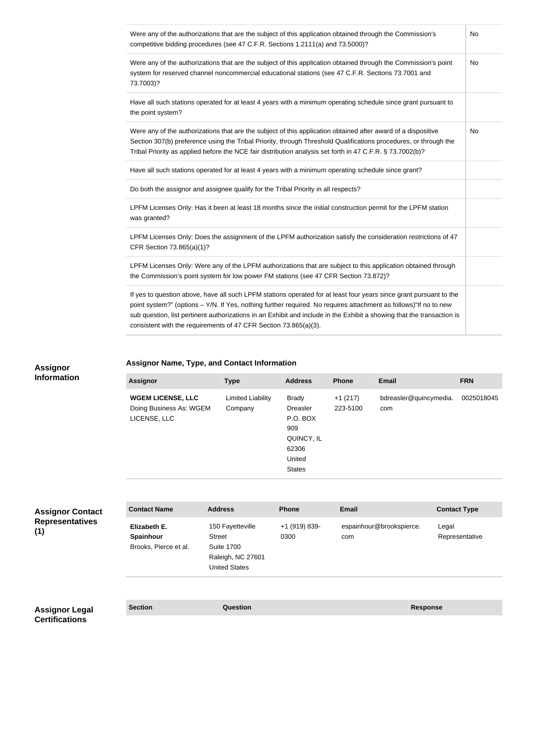| Were any of the authorizations that are the subject of this application obtained through the Commission's<br>competitive bidding procedures (see 47 C.F.R. Sections 1.2111(a) and 73.5000)?                                                                                                                                                                                                                                          | <b>No</b> |
|--------------------------------------------------------------------------------------------------------------------------------------------------------------------------------------------------------------------------------------------------------------------------------------------------------------------------------------------------------------------------------------------------------------------------------------|-----------|
| Were any of the authorizations that are the subject of this application obtained through the Commission's point<br>system for reserved channel noncommercial educational stations (see 47 C.F.R. Sections 73.7001 and<br>73.7003)?                                                                                                                                                                                                   | No        |
| Have all such stations operated for at least 4 years with a minimum operating schedule since grant pursuant to<br>the point system?                                                                                                                                                                                                                                                                                                  |           |
| Were any of the authorizations that are the subject of this application obtained after award of a dispositive<br>Section 307(b) preference using the Tribal Priority, through Threshold Qualifications procedures, or through the<br>Tribal Priority as applied before the NCE fair distribution analysis set forth in 47 C.F.R. § 73.7002(b)?                                                                                       | <b>No</b> |
| Have all such stations operated for at least 4 years with a minimum operating schedule since grant?                                                                                                                                                                                                                                                                                                                                  |           |
| Do both the assignor and assignee qualify for the Tribal Priority in all respects?                                                                                                                                                                                                                                                                                                                                                   |           |
| LPFM Licenses Only: Has it been at least 18 months since the initial construction permit for the LPFM station<br>was granted?                                                                                                                                                                                                                                                                                                        |           |
| LPFM Licenses Only: Does the assignment of the LPFM authorization satisfy the consideration restrictions of 47<br>CFR Section 73.865(a)(1)?                                                                                                                                                                                                                                                                                          |           |
| LPFM Licenses Only: Were any of the LPFM authorizations that are subject to this application obtained through<br>the Commission's point system for low power FM stations (see 47 CFR Section 73.872)?                                                                                                                                                                                                                                |           |
| If yes to question above, have all such LPFM stations operated for at least four years since grant pursuant to the<br>point system?" (options - Y/N. If Yes, nothing further required. No requires attachment as follows)"If no to new<br>sub question, list pertinent authorizations in an Exhibit and include in the Exhibit a showing that the transaction is<br>consistent with the requirements of 47 CFR Section 73.865(a)(3). |           |

#### **Assignor Information**

## **Assignor Name, Type, and Contact Information**

| <b>Assignor</b>                                                     | <b>Type</b>                  | <b>Address</b>                                                                                | <b>Phone</b>          | <b>Email</b>                  | <b>FRN</b> |
|---------------------------------------------------------------------|------------------------------|-----------------------------------------------------------------------------------------------|-----------------------|-------------------------------|------------|
| <b>WGEM LICENSE, LLC</b><br>Doing Business As: WGEM<br>LICENSE, LLC | Limited Liability<br>Company | Brady<br><b>Dreasler</b><br>P.O. BOX<br>909<br>QUINCY, IL<br>62306<br>United<br><b>States</b> | $+1(217)$<br>223-5100 | bdreasler@quincymedia.<br>com | 0025018045 |

| <b>Assignor Contact</b>                        | <b>Contact Name</b>                                | <b>Address</b>                                                                               | <b>Phone</b>          | <b>Email</b>                    | <b>Contact Type</b>     |  |
|------------------------------------------------|----------------------------------------------------|----------------------------------------------------------------------------------------------|-----------------------|---------------------------------|-------------------------|--|
| <b>Representatives</b><br>(1)                  | Elizabeth E.<br>Spainhour<br>Brooks, Pierce et al. | 150 Fayetteville<br>Street<br><b>Suite 1700</b><br>Raleigh, NC 27601<br><b>United States</b> | +1 (919) 839-<br>0300 | espainhour@brookspierce.<br>com | Legal<br>Representative |  |
|                                                |                                                    |                                                                                              |                       |                                 |                         |  |
| <b>Assignor Legal</b><br><b>Certifications</b> | <b>Section</b>                                     | <b>Question</b>                                                                              |                       | <b>Response</b>                 |                         |  |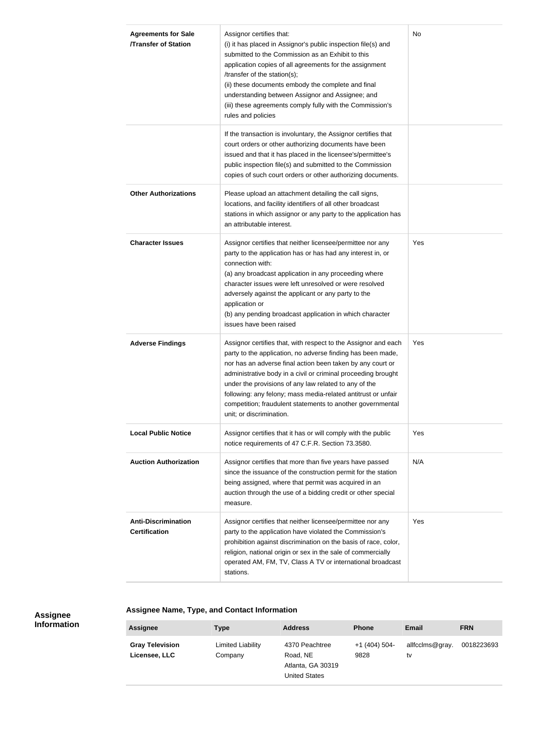| <b>Agreements for Sale</b><br><b>/Transfer of Station</b> | Assignor certifies that:<br>(i) it has placed in Assignor's public inspection file(s) and<br>submitted to the Commission as an Exhibit to this<br>application copies of all agreements for the assignment<br>/transfer of the station(s);<br>(ii) these documents embody the complete and final<br>understanding between Assignor and Assignee; and<br>(iii) these agreements comply fully with the Commission's<br>rules and policies                                           | <b>No</b> |
|-----------------------------------------------------------|----------------------------------------------------------------------------------------------------------------------------------------------------------------------------------------------------------------------------------------------------------------------------------------------------------------------------------------------------------------------------------------------------------------------------------------------------------------------------------|-----------|
|                                                           | If the transaction is involuntary, the Assignor certifies that<br>court orders or other authorizing documents have been<br>issued and that it has placed in the licensee's/permittee's<br>public inspection file(s) and submitted to the Commission<br>copies of such court orders or other authorizing documents.                                                                                                                                                               |           |
| <b>Other Authorizations</b>                               | Please upload an attachment detailing the call signs,<br>locations, and facility identifiers of all other broadcast<br>stations in which assignor or any party to the application has<br>an attributable interest.                                                                                                                                                                                                                                                               |           |
| <b>Character Issues</b>                                   | Assignor certifies that neither licensee/permittee nor any<br>party to the application has or has had any interest in, or<br>connection with:<br>(a) any broadcast application in any proceeding where<br>character issues were left unresolved or were resolved<br>adversely against the applicant or any party to the<br>application or<br>(b) any pending broadcast application in which character<br>issues have been raised                                                 | Yes       |
| <b>Adverse Findings</b>                                   | Assignor certifies that, with respect to the Assignor and each<br>party to the application, no adverse finding has been made,<br>nor has an adverse final action been taken by any court or<br>administrative body in a civil or criminal proceeding brought<br>under the provisions of any law related to any of the<br>following: any felony; mass media-related antitrust or unfair<br>competition; fraudulent statements to another governmental<br>unit; or discrimination. | Yes       |
| <b>Local Public Notice</b>                                | Assignor certifies that it has or will comply with the public<br>notice requirements of 47 C.F.R. Section 73.3580.                                                                                                                                                                                                                                                                                                                                                               | Yes       |
| <b>Auction Authorization</b>                              | Assignor certifies that more than five years have passed<br>since the issuance of the construction permit for the station<br>being assigned, where that permit was acquired in an<br>auction through the use of a bidding credit or other special<br>measure.                                                                                                                                                                                                                    | N/A       |
| <b>Anti-Discrimination</b><br><b>Certification</b>        | Assignor certifies that neither licensee/permittee nor any<br>party to the application have violated the Commission's<br>prohibition against discrimination on the basis of race, color,<br>religion, national origin or sex in the sale of commercially<br>operated AM, FM, TV, Class A TV or international broadcast<br>stations.                                                                                                                                              | Yes       |

#### **Assignee Information**

**Assignee Name, Type, and Contact Information**

| <b>Assignee</b>                         | Type                         | <b>Address</b>                                                   | <b>Phone</b>          | <b>Email</b>          | <b>FRN</b> |
|-----------------------------------------|------------------------------|------------------------------------------------------------------|-----------------------|-----------------------|------------|
| <b>Gray Television</b><br>Licensee, LLC | Limited Liability<br>Company | 4370 Peachtree<br>Road, NE<br>Atlanta, GA 30319<br>United States | +1 (404) 504-<br>9828 | allfcclms@gray.<br>tv | 0018223693 |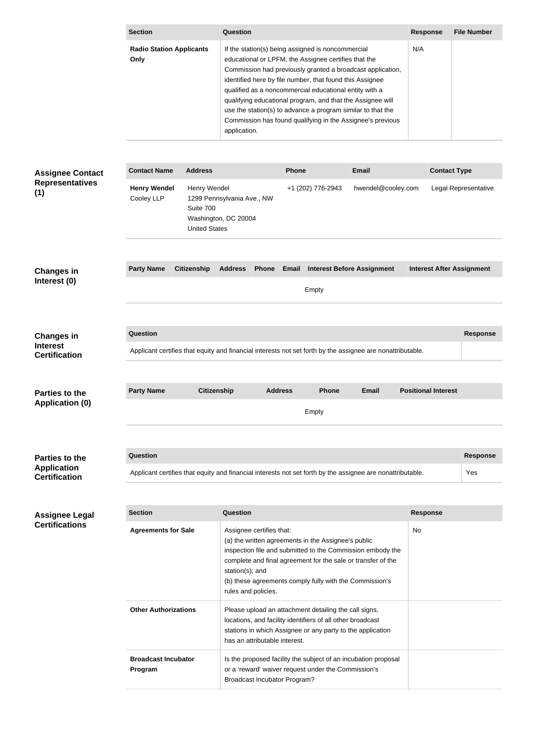|                                                              | <b>Section</b>                                                                                                         |                                                                                                         |                                                                                                                                                                                                                                                                                                                                                                                                                                                                                                          | <b>Question</b>               |                |                                                                                                                     |                                                            |                                  | <b>File Number</b>   |
|--------------------------------------------------------------|------------------------------------------------------------------------------------------------------------------------|---------------------------------------------------------------------------------------------------------|----------------------------------------------------------------------------------------------------------------------------------------------------------------------------------------------------------------------------------------------------------------------------------------------------------------------------------------------------------------------------------------------------------------------------------------------------------------------------------------------------------|-------------------------------|----------------|---------------------------------------------------------------------------------------------------------------------|------------------------------------------------------------|----------------------------------|----------------------|
| <b>Radio Station Applicants</b><br>Only                      |                                                                                                                        |                                                                                                         | If the station(s) being assigned is noncommercial<br>educational or LPFM, the Assignee certifies that the<br>Commission had previously granted a broadcast application,<br>identified here by file number, that found this Assignee<br>qualified as a noncommercial educational entity with a<br>qualifying educational program, and that the Assignee will<br>use the station(s) to advance a program similar to that the<br>Commission has found qualifying in the Assignee's previous<br>application. |                               |                |                                                                                                                     | N/A                                                        |                                  |                      |
|                                                              |                                                                                                                        |                                                                                                         |                                                                                                                                                                                                                                                                                                                                                                                                                                                                                                          |                               |                |                                                                                                                     |                                                            |                                  |                      |
| <b>Assignee Contact</b>                                      | <b>Contact Name</b>                                                                                                    | <b>Address</b>                                                                                          |                                                                                                                                                                                                                                                                                                                                                                                                                                                                                                          |                               | <b>Phone</b>   |                                                                                                                     | <b>Email</b>                                               | <b>Contact Type</b>              |                      |
| <b>Representatives</b><br>(1)                                | <b>Henry Wendel</b><br>Cooley LLP                                                                                      | Henry Wendel<br>1299 Pennsylvania Ave., NW<br>Suite 700<br>Washington, DC 20004<br><b>United States</b> |                                                                                                                                                                                                                                                                                                                                                                                                                                                                                                          |                               |                | +1 (202) 776-2943                                                                                                   | hwendel@cooley.com                                         |                                  | Legal Representative |
|                                                              |                                                                                                                        |                                                                                                         |                                                                                                                                                                                                                                                                                                                                                                                                                                                                                                          |                               |                |                                                                                                                     |                                                            |                                  |                      |
| <b>Changes in</b>                                            | <b>Party Name</b>                                                                                                      | <b>Citizenship</b>                                                                                      | <b>Address</b>                                                                                                                                                                                                                                                                                                                                                                                                                                                                                           | <b>Phone</b>                  | Email          |                                                                                                                     | <b>Interest Before Assignment</b>                          | <b>Interest After Assignment</b> |                      |
| Interest (0)                                                 |                                                                                                                        |                                                                                                         |                                                                                                                                                                                                                                                                                                                                                                                                                                                                                                          |                               |                | Empty                                                                                                               |                                                            |                                  |                      |
|                                                              |                                                                                                                        |                                                                                                         |                                                                                                                                                                                                                                                                                                                                                                                                                                                                                                          |                               |                |                                                                                                                     |                                                            |                                  |                      |
| <b>Changes in</b><br><b>Interest</b><br><b>Certification</b> | Question<br>Applicant certifies that equity and financial interests not set forth by the assignee are nonattributable. |                                                                                                         |                                                                                                                                                                                                                                                                                                                                                                                                                                                                                                          |                               |                |                                                                                                                     |                                                            |                                  | <b>Response</b>      |
|                                                              |                                                                                                                        |                                                                                                         |                                                                                                                                                                                                                                                                                                                                                                                                                                                                                                          |                               |                |                                                                                                                     |                                                            |                                  |                      |
| <b>Parties to the</b><br><b>Application (0)</b>              | <b>Party Name</b>                                                                                                      | <b>Citizenship</b>                                                                                      |                                                                                                                                                                                                                                                                                                                                                                                                                                                                                                          |                               | <b>Address</b> | <b>Phone</b><br>Empty                                                                                               | <b>Email</b>                                               | <b>Positional Interest</b>       |                      |
|                                                              |                                                                                                                        |                                                                                                         |                                                                                                                                                                                                                                                                                                                                                                                                                                                                                                          |                               |                |                                                                                                                     |                                                            |                                  |                      |
| <b>Parties to the</b>                                        | <b>Question</b>                                                                                                        |                                                                                                         |                                                                                                                                                                                                                                                                                                                                                                                                                                                                                                          |                               |                |                                                                                                                     |                                                            |                                  | <b>Response</b>      |
| <b>Application</b><br><b>Certification</b>                   | Applicant certifies that equity and financial interests not set forth by the assignee are nonattributable.             |                                                                                                         |                                                                                                                                                                                                                                                                                                                                                                                                                                                                                                          |                               |                |                                                                                                                     |                                                            |                                  | Yes                  |
|                                                              |                                                                                                                        |                                                                                                         |                                                                                                                                                                                                                                                                                                                                                                                                                                                                                                          |                               |                |                                                                                                                     |                                                            |                                  |                      |
| <b>Assignee Legal</b><br><b>Certifications</b>               | <b>Section</b>                                                                                                         |                                                                                                         | <b>Question</b>                                                                                                                                                                                                                                                                                                                                                                                                                                                                                          |                               |                |                                                                                                                     |                                                            | <b>Response</b>                  |                      |
|                                                              | <b>Agreements for Sale</b>                                                                                             |                                                                                                         | Assignee certifies that:<br>(a) the written agreements in the Assignee's public<br>inspection file and submitted to the Commission embody the<br>complete and final agreement for the sale or transfer of the<br>station(s); and<br>(b) these agreements comply fully with the Commission's<br>rules and policies.                                                                                                                                                                                       |                               |                | No                                                                                                                  |                                                            |                                  |                      |
|                                                              | <b>Other Authorizations</b>                                                                                            |                                                                                                         |                                                                                                                                                                                                                                                                                                                                                                                                                                                                                                          | has an attributable interest. |                | Please upload an attachment detailing the call signs,<br>locations, and facility identifiers of all other broadcast | stations in which Assignee or any party to the application |                                  |                      |
|                                                              | <b>Broadcast Incubator</b><br>Program                                                                                  |                                                                                                         | Is the proposed facility the subject of an incubation proposal<br>or a 'reward' waiver request under the Commission's<br><b>Broadcast Incubator Program?</b>                                                                                                                                                                                                                                                                                                                                             |                               |                |                                                                                                                     |                                                            |                                  |                      |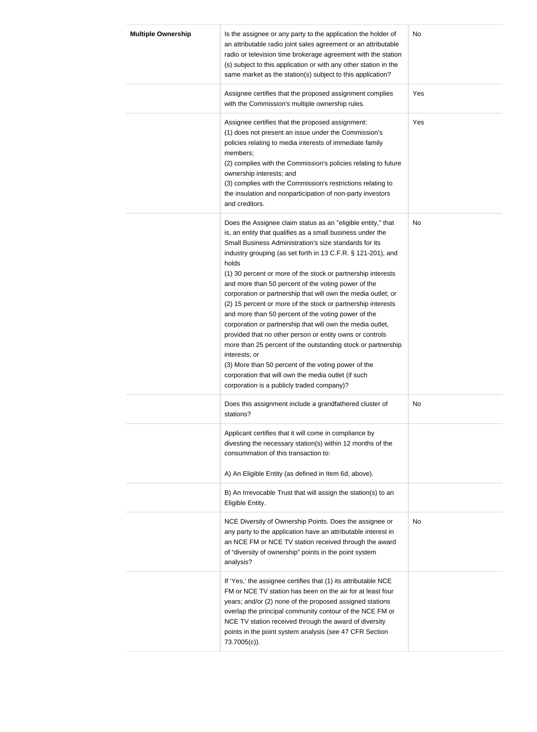| <b>Multiple Ownership</b> | Is the assignee or any party to the application the holder of<br>an attributable radio joint sales agreement or an attributable<br>radio or television time brokerage agreement with the station<br>(s) subject to this application or with any other station in the<br>same market as the station(s) subject to this application?                                                                                                                                                                                                                                                                                                                                                                                                                                                                                                                                                                                                                  | No  |
|---------------------------|-----------------------------------------------------------------------------------------------------------------------------------------------------------------------------------------------------------------------------------------------------------------------------------------------------------------------------------------------------------------------------------------------------------------------------------------------------------------------------------------------------------------------------------------------------------------------------------------------------------------------------------------------------------------------------------------------------------------------------------------------------------------------------------------------------------------------------------------------------------------------------------------------------------------------------------------------------|-----|
|                           | Assignee certifies that the proposed assignment complies<br>with the Commission's multiple ownership rules.                                                                                                                                                                                                                                                                                                                                                                                                                                                                                                                                                                                                                                                                                                                                                                                                                                         | Yes |
|                           | Assignee certifies that the proposed assignment:<br>(1) does not present an issue under the Commission's<br>policies relating to media interests of immediate family<br>members;<br>(2) complies with the Commission's policies relating to future<br>ownership interests; and<br>(3) complies with the Commission's restrictions relating to<br>the insulation and nonparticipation of non-party investors<br>and creditors.                                                                                                                                                                                                                                                                                                                                                                                                                                                                                                                       | Yes |
|                           | Does the Assignee claim status as an "eligible entity," that<br>is, an entity that qualifies as a small business under the<br>Small Business Administration's size standards for its<br>industry grouping (as set forth in 13 C.F.R. § 121-201), and<br>holds<br>(1) 30 percent or more of the stock or partnership interests<br>and more than 50 percent of the voting power of the<br>corporation or partnership that will own the media outlet; or<br>(2) 15 percent or more of the stock or partnership interests<br>and more than 50 percent of the voting power of the<br>corporation or partnership that will own the media outlet,<br>provided that no other person or entity owns or controls<br>more than 25 percent of the outstanding stock or partnership<br>interests; or<br>(3) More than 50 percent of the voting power of the<br>corporation that will own the media outlet (if such<br>corporation is a publicly traded company)? | No  |
|                           | Does this assignment include a grandfathered cluster of<br>stations?<br>Applicant certifies that it will come in compliance by<br>divesting the necessary station(s) within 12 months of the<br>consummation of this transaction to:<br>A) An Eligible Entity (as defined in Item 6d, above).                                                                                                                                                                                                                                                                                                                                                                                                                                                                                                                                                                                                                                                       | No  |
|                           | B) An Irrevocable Trust that will assign the station(s) to an<br>Eligible Entity.<br>NCE Diversity of Ownership Points. Does the assignee or<br>any party to the application have an attributable interest in<br>an NCE FM or NCE TV station received through the award<br>of "diversity of ownership" points in the point system                                                                                                                                                                                                                                                                                                                                                                                                                                                                                                                                                                                                                   | No  |
|                           | analysis?<br>If 'Yes,' the assignee certifies that (1) its attributable NCE<br>FM or NCE TV station has been on the air for at least four<br>years; and/or (2) none of the proposed assigned stations<br>overlap the principal community contour of the NCE FM or<br>NCE TV station received through the award of diversity<br>points in the point system analysis (see 47 CFR Section<br>73.7005(c)).                                                                                                                                                                                                                                                                                                                                                                                                                                                                                                                                              |     |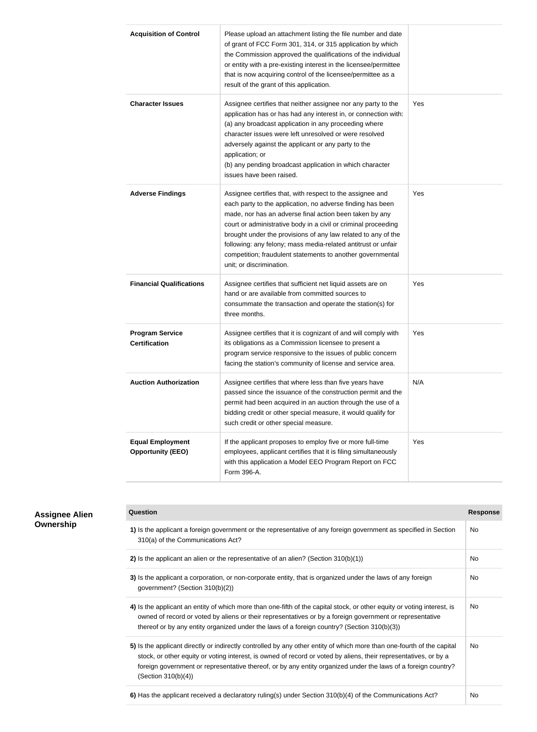| <b>Acquisition of Control</b>                       | Please upload an attachment listing the file number and date<br>of grant of FCC Form 301, 314, or 315 application by which<br>the Commission approved the qualifications of the individual<br>or entity with a pre-existing interest in the licensee/permittee<br>that is now acquiring control of the licensee/permittee as a<br>result of the grant of this application.                                                                                                       |     |
|-----------------------------------------------------|----------------------------------------------------------------------------------------------------------------------------------------------------------------------------------------------------------------------------------------------------------------------------------------------------------------------------------------------------------------------------------------------------------------------------------------------------------------------------------|-----|
| <b>Character Issues</b>                             | Assignee certifies that neither assignee nor any party to the<br>application has or has had any interest in, or connection with:<br>(a) any broadcast application in any proceeding where<br>character issues were left unresolved or were resolved<br>adversely against the applicant or any party to the<br>application; or<br>(b) any pending broadcast application in which character<br>issues have been raised.                                                            | Yes |
| <b>Adverse Findings</b>                             | Assignee certifies that, with respect to the assignee and<br>each party to the application, no adverse finding has been<br>made, nor has an adverse final action been taken by any<br>court or administrative body in a civil or criminal proceeding<br>brought under the provisions of any law related to any of the<br>following: any felony; mass media-related antitrust or unfair<br>competition; fraudulent statements to another governmental<br>unit; or discrimination. | Yes |
| <b>Financial Qualifications</b>                     | Assignee certifies that sufficient net liquid assets are on<br>hand or are available from committed sources to<br>consummate the transaction and operate the station(s) for<br>three months.                                                                                                                                                                                                                                                                                     | Yes |
| <b>Program Service</b><br><b>Certification</b>      | Assignee certifies that it is cognizant of and will comply with<br>its obligations as a Commission licensee to present a<br>program service responsive to the issues of public concern<br>facing the station's community of license and service area.                                                                                                                                                                                                                            | Yes |
| <b>Auction Authorization</b>                        | Assignee certifies that where less than five years have<br>passed since the issuance of the construction permit and the<br>permit had been acquired in an auction through the use of a<br>bidding credit or other special measure, it would qualify for<br>such credit or other special measure.                                                                                                                                                                                 | N/A |
| <b>Equal Employment</b><br><b>Opportunity (EEO)</b> | If the applicant proposes to employ five or more full-time<br>employees, applicant certifies that it is filing simultaneously<br>with this application a Model EEO Program Report on FCC<br>Form 396-A.                                                                                                                                                                                                                                                                          | Yes |

| <b>Response</b> |
|-----------------|
| No.             |
| No.             |
| No.             |
| No.             |
| No.             |
|                 |

#### **Assignee Alien Ownership**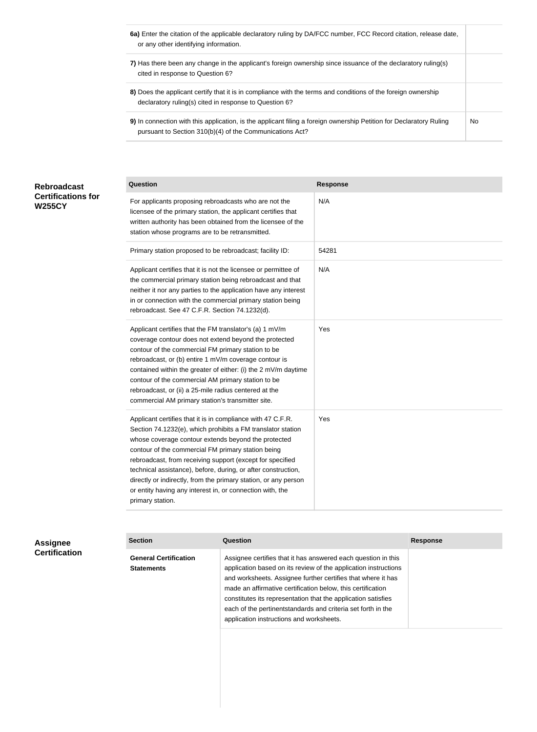- **6a)** Enter the citation of the applicable declaratory ruling by DA/FCC number, FCC Record citation, release date, or any other identifying information.
- **7)** Has there been any change in the applicant's foreign ownership since issuance of the declaratory ruling(s) cited in response to Question 6?
- **8)** Does the applicant certify that it is in compliance with the terms and conditions of the foreign ownership declaratory ruling(s) cited in response to Question 6?
- **9)** In connection with this application, is the applicant filing a foreign ownership Petition for Declaratory Ruling pursuant to Section 310(b)(4) of the Communications Act? No

| <b>Rebroadcast</b>        |
|---------------------------|
| <b>Certifications for</b> |
| <b>W255CY</b>             |

| <b>Question</b>                                                                                                                                                                                                                                                                                                                                                                                                                                                                                                           | <b>Response</b> |
|---------------------------------------------------------------------------------------------------------------------------------------------------------------------------------------------------------------------------------------------------------------------------------------------------------------------------------------------------------------------------------------------------------------------------------------------------------------------------------------------------------------------------|-----------------|
| For applicants proposing rebroadcasts who are not the<br>licensee of the primary station, the applicant certifies that<br>written authority has been obtained from the licensee of the<br>station whose programs are to be retransmitted.                                                                                                                                                                                                                                                                                 | N/A             |
| Primary station proposed to be rebroadcast; facility ID:                                                                                                                                                                                                                                                                                                                                                                                                                                                                  | 54281           |
| Applicant certifies that it is not the licensee or permittee of<br>the commercial primary station being rebroadcast and that<br>neither it nor any parties to the application have any interest<br>in or connection with the commercial primary station being<br>rebroadcast. See 47 C.F.R. Section 74.1232(d).                                                                                                                                                                                                           | N/A             |
| Applicant certifies that the FM translator's (a) 1 mV/m<br>coverage contour does not extend beyond the protected<br>contour of the commercial FM primary station to be<br>rebroadcast, or (b) entire 1 mV/m coverage contour is<br>contained within the greater of either: (i) the 2 mV/m daytime<br>contour of the commercial AM primary station to be<br>rebroadcast, or (ii) a 25-mile radius centered at the<br>commercial AM primary station's transmitter site.                                                     | Yes             |
| Applicant certifies that it is in compliance with 47 C.F.R.<br>Section 74.1232(e), which prohibits a FM translator station<br>whose coverage contour extends beyond the protected<br>contour of the commercial FM primary station being<br>rebroadcast, from receiving support (except for specified<br>technical assistance), before, during, or after construction,<br>directly or indirectly, from the primary station, or any person<br>or entity having any interest in, or connection with, the<br>primary station. | Yes             |

| <b>Assignee</b>      |
|----------------------|
| <b>Certification</b> |

**Section Question Response General Certification Statements** Assignee certifies that it has answered each question in this application based on its review of the application instructions and worksheets. Assignee further certifies that where it has made an affirmative certification below, this certification constitutes its representation that the application satisfies each of the pertinentstandards and criteria set forth in the application instructions and worksheets.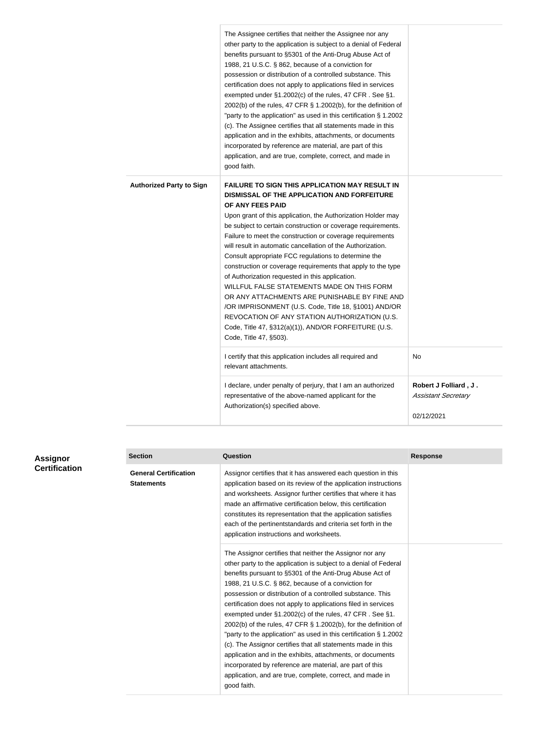|                                 | The Assignee certifies that neither the Assignee nor any<br>other party to the application is subject to a denial of Federal<br>benefits pursuant to §5301 of the Anti-Drug Abuse Act of<br>1988, 21 U.S.C. § 862, because of a conviction for<br>possession or distribution of a controlled substance. This<br>certification does not apply to applications filed in services<br>exempted under §1.2002(c) of the rules, 47 CFR. See §1.<br>2002(b) of the rules, 47 CFR § 1.2002(b), for the definition of<br>"party to the application" as used in this certification § 1.2002<br>(c). The Assignee certifies that all statements made in this<br>application and in the exhibits, attachments, or documents<br>incorporated by reference are material, are part of this<br>application, and are true, complete, correct, and made in<br>good faith.         |                                                                   |
|---------------------------------|-----------------------------------------------------------------------------------------------------------------------------------------------------------------------------------------------------------------------------------------------------------------------------------------------------------------------------------------------------------------------------------------------------------------------------------------------------------------------------------------------------------------------------------------------------------------------------------------------------------------------------------------------------------------------------------------------------------------------------------------------------------------------------------------------------------------------------------------------------------------|-------------------------------------------------------------------|
| <b>Authorized Party to Sign</b> | <b>FAILURE TO SIGN THIS APPLICATION MAY RESULT IN</b><br><b>DISMISSAL OF THE APPLICATION AND FORFEITURE</b><br>OF ANY FEES PAID<br>Upon grant of this application, the Authorization Holder may<br>be subject to certain construction or coverage requirements.<br>Failure to meet the construction or coverage requirements<br>will result in automatic cancellation of the Authorization.<br>Consult appropriate FCC regulations to determine the<br>construction or coverage requirements that apply to the type<br>of Authorization requested in this application.<br>WILLFUL FALSE STATEMENTS MADE ON THIS FORM<br>OR ANY ATTACHMENTS ARE PUNISHABLE BY FINE AND<br>/OR IMPRISONMENT (U.S. Code, Title 18, §1001) AND/OR<br>REVOCATION OF ANY STATION AUTHORIZATION (U.S.<br>Code, Title 47, §312(a)(1)), AND/OR FORFEITURE (U.S<br>Code, Title 47, §503). |                                                                   |
|                                 | I certify that this application includes all required and<br>relevant attachments.                                                                                                                                                                                                                                                                                                                                                                                                                                                                                                                                                                                                                                                                                                                                                                              | No                                                                |
|                                 | I declare, under penalty of perjury, that I am an authorized<br>representative of the above-named applicant for the<br>Authorization(s) specified above.                                                                                                                                                                                                                                                                                                                                                                                                                                                                                                                                                                                                                                                                                                        | Robert J Folliard, J.<br><b>Assistant Secretary</b><br>02/12/2021 |

| <b>Assignor</b>      | <b>Section</b>                                    | <b>Question</b>                                                                                                                                                                                                                                                                                                                                                                                                                                                                                                                                                                                                                                                                                                                                                                                                                                         | <b>Response</b> |
|----------------------|---------------------------------------------------|---------------------------------------------------------------------------------------------------------------------------------------------------------------------------------------------------------------------------------------------------------------------------------------------------------------------------------------------------------------------------------------------------------------------------------------------------------------------------------------------------------------------------------------------------------------------------------------------------------------------------------------------------------------------------------------------------------------------------------------------------------------------------------------------------------------------------------------------------------|-----------------|
| <b>Certification</b> | <b>General Certification</b><br><b>Statements</b> | Assignor certifies that it has answered each question in this<br>application based on its review of the application instructions<br>and worksheets. Assignor further certifies that where it has<br>made an affirmative certification below, this certification<br>constitutes its representation that the application satisfies<br>each of the pertinentstandards and criteria set forth in the<br>application instructions and worksheets.                                                                                                                                                                                                                                                                                                                                                                                                            |                 |
|                      |                                                   | The Assignor certifies that neither the Assignor nor any<br>other party to the application is subject to a denial of Federal<br>benefits pursuant to §5301 of the Anti-Drug Abuse Act of<br>1988, 21 U.S.C. § 862, because of a conviction for<br>possession or distribution of a controlled substance. This<br>certification does not apply to applications filed in services<br>exempted under §1.2002(c) of the rules, 47 CFR. See §1.<br>2002(b) of the rules, 47 CFR § 1.2002(b), for the definition of<br>"party to the application" as used in this certification § 1.2002<br>(c). The Assignor certifies that all statements made in this<br>application and in the exhibits, attachments, or documents<br>incorporated by reference are material, are part of this<br>application, and are true, complete, correct, and made in<br>good faith. |                 |